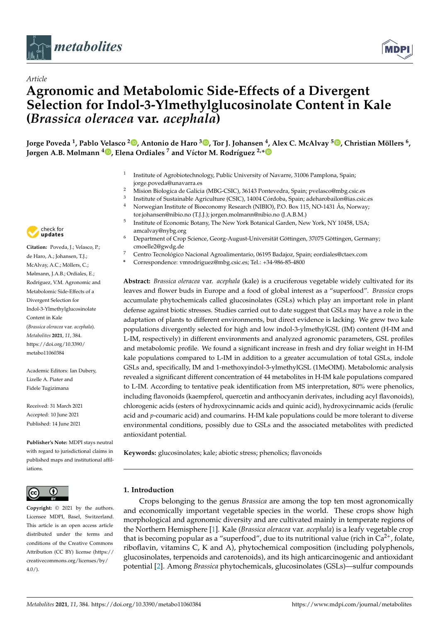



# **Agronomic and Metabolomic Side-Effects of a Divergent Selection for Indol-3-Ylmethylglucosinolate Content in Kale (***Brassica oleracea* **var.** *acephala***)**

Jorge Poveda <sup>1</sup>[,](https://orcid.org/0000-0001-7051-2018) Pablo Velasco <sup>2</sup>®, Antonio de Haro <sup>3</sup>®, Tor J. Johansen <sup>4</sup>, Alex C. McAlvay <sup>5</sup>®, Christian Möllers <sup>6</sup>, **Jørgen A.B. Mølmann <sup>4</sup> [,](https://orcid.org/0000-0003-4788-1821) Elena Ordiales <sup>7</sup> and Víctor M. Rodríguez 2,[\\*](https://orcid.org/0000-0002-2861-4093)**

- 1 Institute of Agrobiotechnology, Public University of Navarre, 31006 Pamplona, Spain; jorge.poveda@unavarra.es
- <sup>2</sup> Mision Biologica de Galicia (MBG-CSIC), 36143 Pontevedra, Spain; pvelasco@mbg.csic.es
- 3 Institute of Sustainable Agriculture (CSIC), 14004 Córdoba, Spain; adeharobailon@ias.csic.es <sup>4</sup> Norwegian Institute of Bioeconomy Research (NIBIO), P.O. Box 115, NO-1431 Ås, Norway; tor.johansen@nibio.no (T.J.J.); jorgen.molmann@nibio.no (J.A.B.M.)
- 5 Institute of Economic Botany, The New York Botanical Garden, New York, NY 10458, USA; amcalvay@nybg.org
- <sup>6</sup> Department of Crop Science, Georg-August-Universität Göttingen, 37075 Göttingen, Germany; cmoelle2@gwdg.de
- <sup>7</sup> Centro Tecnológico Nacional Agroalimentario, 06195 Badajoz, Spain; eordiales@ctaex.com
- **\*** Correspondence: vmrodriguez@mbg.csic.es; Tel.: +34-986-85-4800

**Abstract:** *Brassica oleracea* var. *acephala* (kale) is a cruciferous vegetable widely cultivated for its leaves and flower buds in Europe and a food of global interest as a "superfood". *Brassica* crops accumulate phytochemicals called glucosinolates (GSLs) which play an important role in plant defense against biotic stresses. Studies carried out to date suggest that GSLs may have a role in the adaptation of plants to different environments, but direct evidence is lacking. We grew two kale populations divergently selected for high and low indol-3-ylmethylGSL (IM) content (H-IM and L-IM, respectively) in different environments and analyzed agronomic parameters, GSL profiles and metabolomic profile. We found a significant increase in fresh and dry foliar weight in H-IM kale populations compared to L-IM in addition to a greater accumulation of total GSLs, indole GSLs and, specifically, IM and 1-methoxyindol-3-ylmethylGSL (1MeOIM). Metabolomic analysis revealed a significant different concentration of 44 metabolites in H-IM kale populations compared to L-IM. According to tentative peak identification from MS interpretation, 80% were phenolics, including flavonoids (kaempferol, quercetin and anthocyanin derivates, including acyl flavonoids), chlorogenic acids (esters of hydroxycinnamic acids and quinic acid), hydroxycinnamic acids (ferulic acid and *p*-coumaric acid) and coumarins. H-IM kale populations could be more tolerant to diverse environmental conditions, possibly due to GSLs and the associated metabolites with predicted antioxidant potential.

**Keywords:** glucosinolates; kale; abiotic stress; phenolics; flavonoids

### **1. Introduction**

Crops belonging to the genus *Brassica* are among the top ten most agronomically and economically important vegetable species in the world. These crops show high morphological and agronomic diversity and are cultivated mainly in temperate regions of the Northern Hemisphere [\[1\]](#page-11-0). Kale (*Brassica oleracea* var. *acephala*) is a leafy vegetable crop that is becoming popular as a "superfood", due to its nutritional value (rich in  $Ca^{2+}$ , folate, riboflavin, vitamins C, K and A), phytochemical composition (including polyphenols, glucosinolates, terpenoids and carotenoids), and its high anticarcinogenic and antioxidant potential [\[2\]](#page-11-1). Among *Brassica* phytochemicals, glucosinolates (GSLs)—sulfur compounds



*Article*

**Citation:** Poveda, J.; Velasco, P.; de Haro, A.; Johansen, T.J.; McAlvay, A.C.; Möllers, C.; Mølmann, J.A.B.; Ordiales, E.; Rodríguez, V.M. Agronomic and Metabolomic Side-Effects of a Divergent Selection for Indol-3-Ylmethylglucosinolate Content in Kale (*Brassica oleracea* var. *acephala*). *Metabolites* **2021**, *11*, 384. [https://doi.org/10.3390/](https://doi.org/10.3390/metabo11060384) [metabo11060384](https://doi.org/10.3390/metabo11060384)

Academic Editors: Ian Dubery, Lizelle A. Piater and Fidele Tugizimana

Received: 31 March 2021 Accepted: 10 June 2021 Published: 14 June 2021

**Publisher's Note:** MDPI stays neutral with regard to jurisdictional claims in published maps and institutional affiliations.



**Copyright:** © 2021 by the authors. Licensee MDPI, Basel, Switzerland. This article is an open access article distributed under the terms and conditions of the Creative Commons Attribution (CC BY) license (https:/[/](https://creativecommons.org/licenses/by/4.0/) [creativecommons.org/licenses/by/](https://creativecommons.org/licenses/by/4.0/)  $4.0/$ ).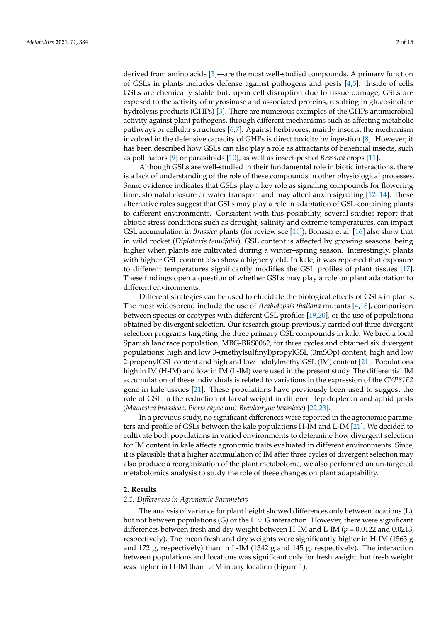derived from amino acids [\[3\]](#page-11-2)—are the most well-studied compounds. A primary function of GSLs in plants includes defense against pathogens and pests [\[4](#page-11-3)[,5\]](#page-12-0). Inside of cells GSLs are chemically stable but, upon cell disruption due to tissue damage, GSLs are exposed to the activity of myrosinase and associated proteins, resulting in glucosinolate hydrolysis products (GHPs) [\[3\]](#page-11-2). There are numerous examples of the GHPs antimicrobial activity against plant pathogens, through different mechanisms such as affecting metabolic pathways or cellular structures [\[6,](#page-12-1)[7\]](#page-12-2). Against herbivores, mainly insects, the mechanism involved in the defensive capacity of GHPs is direct toxicity by ingestion [\[8\]](#page-12-3). However, it has been described how GSLs can also play a role as attractants of beneficial insects, such as pollinators [\[9\]](#page-12-4) or parasitoids [\[10\]](#page-12-5), as well as insect-pest of *Brassica* crops [\[11\]](#page-12-6).

Although GSLs are well-studied in their fundamental role in biotic interactions, there is a lack of understanding of the role of these compounds in other physiological processes. Some evidence indicates that GSLs play a key role as signaling compounds for flowering time, stomatal closure or water transport and may affect auxin signaling [\[12–](#page-12-7)[14\]](#page-12-8). These alternative roles suggest that GSLs may play a role in adaptation of GSL-containing plants to different environments. Consistent with this possibility, several studies report that abiotic stress conditions such as drought, salinity and extreme temperatures, can impact GSL accumulation in *Brassica* plants (for review see [\[15\]](#page-12-9)). Bonasia et al. [\[16\]](#page-12-10) also show that in wild rocket (*Diplotaxis tenuifolia*), GSL content is affected by growing seasons, being higher when plants are cultivated during a winter–spring season. Interestingly, plants with higher GSL content also show a higher yield. In kale, it was reported that exposure to different temperatures significantly modifies the GSL profiles of plant tissues [\[17\]](#page-12-11). These findings open a question of whether GSLs may play a role on plant adaptation to different environments.

Different strategies can be used to elucidate the biological effects of GSLs in plants. The most widespread include the use of *Arabidopsis thaliana* mutants [\[4,](#page-11-3)[18\]](#page-12-12), comparison between species or ecotypes with different GSL profiles [\[19,](#page-12-13)[20\]](#page-12-14), or the use of populations obtained by divergent selection. Our research group previously carried out three divergent selection programs targeting the three primary GSL compounds in kale. We bred a local Spanish landrace population, MBG-BRS0062, for three cycles and obtained six divergent populations: high and low 3-(methylsulfinyl)propylGSL (3mSOp) content, high and low 2-propenylGSL content and high and low indolylmethylGSL (IM) content [\[21\]](#page-12-15). Populations high in IM (H-IM) and low in IM (L-IM) were used in the present study. The differential IM accumulation of these individuals is related to variations in the expression of the *CYP81F2* gene in kale tissues [\[21\]](#page-12-15). These populations have previously been used to suggest the role of GSL in the reduction of larval weight in different lepidopteran and aphid pests (*Mamestra brassicae*, *Pieris rapae* and *Brevicoryne brassicae*) [\[22,](#page-12-16)[23\]](#page-12-17).

In a previous study, no significant differences were reported in the agronomic parameters and profile of GSLs between the kale populations H-IM and L-IM [\[21\]](#page-12-15). We decided to cultivate both populations in varied environments to determine how divergent selection for IM content in kale affects agronomic traits evaluated in different environments. Since, it is plausible that a higher accumulation of IM after three cycles of divergent selection may also produce a reorganization of the plant metabolome, we also performed an un-targeted metabolomics analysis to study the role of these changes on plant adaptability.

#### **2. Results**

#### *2.1. Differences in Agronomic Parameters*

The analysis of variance for plant height showed differences only between locations (L), but not between populations (G) or the L  $\times$  G interaction. However, there were significant differences between fresh and dry weight between H-IM and L-IM (*p* = 0.0122 and 0.0213, respectively). The mean fresh and dry weights were significantly higher in H-IM (1563 g and 172 g, respectively) than in L-IM (1342 g and 145 g, respectively). The interaction between populations and locations was significant only for fresh weight, but fresh weight was higher in H-IM than L-IM in any location (Figure [1\)](#page-2-0).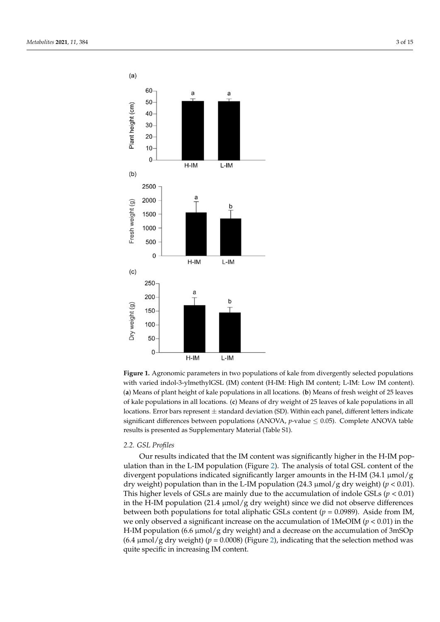<span id="page-2-0"></span>

of kale populations in all locations. (**c**) Means of dry weight of 25 leaves of kale populations in all  $10$ cations. Error bars represent  $\pm$  standard deviation (5D). Within each panel, different letters indicate significant differences between populations (ANOVA, *p*-value  $\leq 0.05$ ). Complete ANOVA table results is presented as Supplementary Material (Table S1). **Figure 1.** Agronomic parameters in two populations of kale from divergently selected populations with varied indol-3-ylmethylGSL (IM) content (H-IM: High IM content; L-IM: Low IM content). (**a**) Means of plant height of kale populations in all locations. (**b**) Means of fresh weight of 25 leaves locations. Error bars represent  $\pm$  standard deviation (SD). Within each panel, different letters indicate

#### kale populations in all locations in all locations. (*c*) Means of the *all profiles* of  $k$ *2.2. GSL Profiles*

Our results indicated that the IM content was significantly higher in the H-IM popdiation than in the L-IM population (Figure 2). The analysis or total GSL content or the<br>divergent populations indicated significantly larger amounts in the H-IM (34.1 μmol/g dry weight) population than in the L-IM population (24.3  $\mu$ mol/g dry weight) ( $p < 0.01$ ). between both populations for total aliphatic GSLs content ( $p = 0.0989$ ). Aside from IM, H-IM population (6.6 µmol/g dry weight) and a decrease on the accumulation of 3mSOp  $\frac{1}{2}$  and  $\frac{1}{2}$  and  $\frac{1}{2}$  must of the set to the set the set the set the method was quite specific in increasing IM content. ulation than in the L-IM population (Figure [2\)](#page-3-0). The analysis of total GSL content of the This higher levels of GSLs are mainly due to the accumulation of indole GSLs  $(p < 0.01)$ in the H-IM population  $(21.4 \mu \text{mol}/g \text{ dry weight})$  since we did not observe differences we only observed a significant increase on the accumulation of  $1$ MeOIM ( $p < 0.01$ ) in the  $(6.4 \mu\text{mol/g dry weight})$  ( $p = 0.0008$ ) (Figure [2\)](#page-3-0), indicating that the selection method was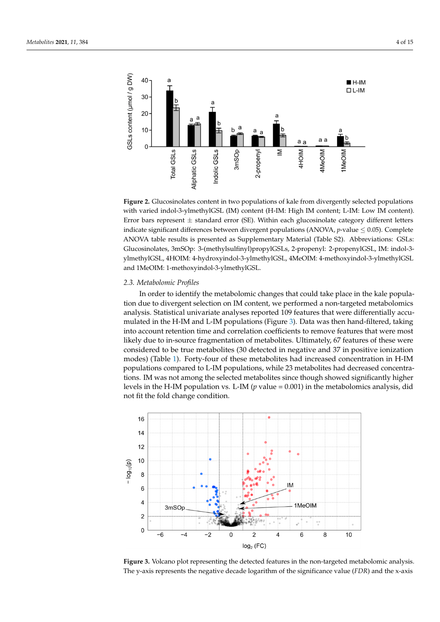<span id="page-3-0"></span>

with varied indol-3-ylmethylGSL (IM) content (H-IM: High IM content; L-IM: Low IM content). Error bars represent  $\pm$  standard error (SE). Within each glucosinolate category different letters indicate significant differences between divergent populations (ANOVA,  $p$ -value  $\leq 0.05$ ). Complete ANOVA table results is presented as Supplementary Material (Table S2). Abbreviations: GSLs: Glucosinolates, 3mSOp: 3-(methylsulfinyl)propylGSLs, 2-propenyl: 2-propenylGSL, IM: indol-3ylmethylGSL, 4HOIM: 4-hydroxyindol-3-ylmethylGSL, 4MeOIM: 4-methoxyindol-3-ylmethylGSL and 1MeOIM: 1‐methoxyindol‐3‐ylmethylGSL. **Figure 2.** Glucosinolates content in two populations of kale from divergently selected populations **Figure 2.** Glucosinolates content in two populations of kale from divergently selected populations  $t_{\text{max}}$  results is presented as supplementary material (Table S2). Comparisons:  $\frac{1}{2}$ . Given  $\frac{1}{2}$ .

## 1MeOIM: 1‐methoxyindol‐3‐ylmethylGSL. *2.3. Metabolomic Profiles 2.3. Metabolomic Profiles*

*2.3.* Figures to divergent selection on IM content, we performed a non-targeted metabolomics analysis. Statistical univariate analyses reported 109 leatures that were unferentially accu-<br>mulated in the H-IM and L-IM populations (Figure [3\)](#page-3-1). Data was then hand-filtered, taking interest in the 11 In the E In populations (Figure 9). But this then hand interest, taking<br>into account retention time and correlation coefficients to remove features that were most likely due to in-source fragmentation of metabolites. Ultimately, 67 features of these were considered to be true metabolites (30 detected in negative and 37 in positive ionization modes) (Table [1\)](#page-6-0). Forty-four of these metabolites had increased concentration in H-IM tions. IM was not among the selected metabolites since though showed significantly higher levels in the H-IM population vs. L-IM (p value = 0.001) in the metabolomics analysis, did not fit the fold change condition. In order to identify the metabolomic changes that could take place in the kale populaanalysis. Statistical univariate analyses reported 109 features that were differentially accupopulations compared to L-IM populations, while 23 metabolites had decreased concentra-

<span id="page-3-1"></span>

**Figure 3.** Volcano plot representing the detected features in the non-targeted metabolomic analysis. The y-axis represents the negative decade logarithm of the significance value (*FDR*) and the x-axis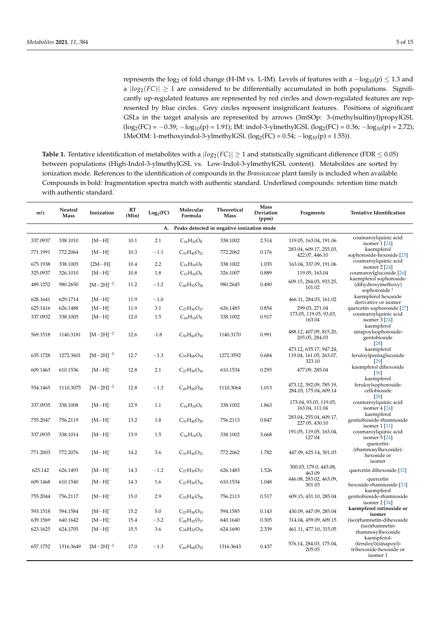represents the log<sup>2</sup> of fold change (H-IM vs. L-IM). Levels of features with a −log10(*p*) ≤ 1.3 and a  $|log_2(FC)| \ge 1$  are considered to be differentially accumulated in both populations. Significantly up-regulated features are represented by red circles and down-regulated features are represented by blue circles. Grey circles represent insignificant features. Positions of significant GSLs in the target analysis are represented by arrows (3mSOp: 3-(methylsulfinyl)propylGSL  $(log_2(FC) = -0.39; -log_{10}(p) = 1.91);$  IM: indol-3-ylmethylGSL (log<sub>2</sub>(FC) = 0.36;  $-log_{10}(p) = 2.72);$ 1MeOIM: 1-methoxyindol-3-ylmethylGSL ( $log_2(FC) = 0.54$ ;  $-log_{10}(p) = 1.55$ )).

Table 1. Tentative identification of metabolites with a  $|log_2(FC)| \ge 1$  and statistically significant difference (FDR  $\le 0.05$ ) between populations (High-Indol-3-ylmethylGSL vs. Low-Indol-3-ylmethylGSL content). Metabolites are sorted by ionization mode. References to the identification of compounds in the *Brassicaceae* plant family is included when available. Compounds in bold: fragmentation spectra match with authentic standard. Underlined compounds: retention time match with authentic standard.

| m/z                                              | Neutral<br><b>Mass</b> | Ionization            | <b>RT</b><br>(Min) | Log <sub>2</sub> (FC) | Molecular<br>Formula | Theoretical<br><b>Mass</b> | Mass<br>Deviation<br>(ppm) | Fragments                                                    | <b>Tentative Identification</b>                              |  |
|--------------------------------------------------|------------------------|-----------------------|--------------------|-----------------------|----------------------|----------------------------|----------------------------|--------------------------------------------------------------|--------------------------------------------------------------|--|
| Peaks detected in negative ionization mode<br>A. |                        |                       |                    |                       |                      |                            |                            |                                                              |                                                              |  |
| 337.0937                                         | 338.1010               | $[M-H]$ <sup>-</sup>  | 10.1               | 2.1                   | $C_{16}H_{18}O_8$    | 338.1002                   | 2.514                      | 119.05, 163.04, 191.06                                       | coumaroylquinic acid<br>isomer 1 [24]                        |  |
| 771.1991                                         | 772.2064               | $[M-H]^-$             | 10.3               | $-1.1$                | $C_{33}H_{40}O_{21}$ | 772.2062                   | 0.176                      | 283.04, 609.17, 255.03,<br>422.07, 446.10                    | kaempferol<br>sophoroside-hexoside [25]                      |  |
| 675.1938                                         | 338.1005               | $[2M-H]$ <sup>-</sup> | 10.4               | 2.2                   | $C_{16}H_{18}O_8$    | 338.1002                   | 1.035                      | 163.04, 337.09, 191.06                                       | coumaroylquinic acid<br>isomer 2 [24]                        |  |
| 325.0937                                         | 326.1010               | $[M-H]$ <sup>-</sup>  | 10.8               | 1.8                   | $C_{15}H_{18}O_8$    | 326.1007                   | 0.889                      | 119.05, 163.04                                               | coumaroylglucoside [26]<br>kaempferol sophoroside-           |  |
| 489.1252                                         | 980.2650               | $[M-2H]^{-2}$         | 11.2               | $-1.2$                | $C_{40}H_{52}O_{28}$ | 980.2645                   | 0.490                      | 609.15, 284.03, 933.25,<br>101.02                            | (dihydroxymethoxy)<br>sophoroside <sup>1</sup>               |  |
| 628.1641                                         | 629.1714               | $[M-H]$ <sup>-</sup>  | 11.9               | $-1.0$                |                      |                            |                            | 466.11, 284.03, 161.02                                       | kaempferol hexoside<br>derivative or isomer                  |  |
| 625.1416                                         | 626.1488               | $[M-H]$ <sup>-</sup>  | 11.9               | 3.1                   | $C_{27}H_{30}O_{17}$ | 626.1483                   | 0.854                      | 299.03, 271.04                                               | quercetin sophoroside [27]                                   |  |
| 337.0932                                         | 338.1005               | $[M-H]$ <sup>-</sup>  | 12.0               | 1.5                   | $C_{16}H_{18}O_8$    | 338.1002                   | 0.917                      | 173.05, 119.05, 93.03,<br>163.04                             | coumaroylquinic acid<br>isomer 3 [24]<br>kaempferol          |  |
| 569.1518                                         | 1140.3181              | $[M-2H]^{-2}$         | 12.6               | $-1.8$                | $C_{50}H_{60}O_{30}$ | 1140.3170                  | 0.991                      | 488.12, 407.09, 815.20,<br>205.05, 284.03                    | sinapoylsophoroside-<br>gentobioside<br>[28]                 |  |
| 635.1728                                         | 1272.3601              | $[M-2H]^{-2}$         | 12.7               | $-1.3$                | $C_{55}H_{68}O_{34}$ | 1272.3592                  | 0.684                      | 473.12, 635.17, 947.24,<br>119.04, 161.05, 263.07,<br>323.10 | kaempferol<br>feruloylpentaglucoside<br>[29]                 |  |
| 609.1463                                         | 610.1536               | $[M-H]$ <sup>-</sup>  | 12.8               | 2.1                   | $C_{27}H_{30}O_{16}$ | 610.1534                   | 0.295                      | 477.09, 285.04                                               | kaempferol dihexoside<br>[30]                                |  |
| 554.1465                                         | 1110.3075              | $[M-2H]^{-2}$         | 12.8               | $-1.3$                | $C_{49}H_{58}O_{29}$ | 1110.3064                  | 1.013                      | 473.12, 392.09, 785.19,<br>284.03, 175.04, 609.14            | kaempferol<br>feruloylsophoroside-<br>cellobioside<br>[28]   |  |
| 337.0935                                         | 338.1008               | $[M-H]$ <sup>-</sup>  | 12.9               | 1.1                   | $C_{16}H_{18}O_8$    | 338.1002                   | 1.863                      | 173.04, 93.03, 119.05,<br>163.04, 111.04                     | coumaroylquinic acid<br>isomer 4 [24]                        |  |
| 755.2047                                         | 756.2119               | $[M-H]$ <sup>-</sup>  | 13.2               | 1.8                   | $C_{33}H_{40}O_{20}$ | 756.2113                   | 0.847                      | 283.04, 255.04, 609.17,<br>227.05, 430.10                    | kaempferol<br>gentiobioside-rhamnoside<br>isomer 1 [31]      |  |
| 337.0935                                         | 338.1014               | $[M-H]$ <sup>-</sup>  | 13.9               | 1.5                   | $C_{16}H_{18}O_8$    | 338.1002                   | 3.668                      | 191.05, 119.05, 163.04,<br>127.04                            | coumaroylquinic acid<br>isomer $5[24]$<br>quercetin-         |  |
| 771.2003                                         | 772.2076               | $[M-H]$ <sup>-</sup>  | 14.2               | 3.6                   | $C_{33}H_{40}O_{21}$ | 772.2062                   | 1.782                      | 447.09, 625.14, 301.03                                       | (rhamnosylhexoside)-<br>hexoside or                          |  |
| 625.142                                          | 626.1493               | $[M-H]$ <sup>-</sup>  | 14.3               | $-1.2$                | $C_{27}H_{30}O_{17}$ | 626.1483                   | 1.526                      | 300.03, 179.0, 445.08,<br>463.09                             | isomer<br>quercetin dihexoside [32]                          |  |
| 609.1468                                         | 610.1540               | $[M-H]$ <sup>-</sup>  | 14.3               | 1.6                   | $C_{27}H_{30}O_{16}$ | 610.1534                   | 1.048                      | 446.08, 283.02, 463.09,<br>301.03                            | quercetin<br>hexoside-rhamnoside [33]<br>kaempferol          |  |
| 755.2044                                         | 756.2117               | $[M-H]$ <sup>-</sup>  | 15.0               | 2.9                   | $C_{33}H_{40}O_{20}$ | 756.2113                   | 0.517                      | 609.15, 431.10, 285.04                                       | gentiobioside-rhamnoside<br>isomer $2[34]$                   |  |
| 593.1518                                         | 594.1584               | $[M-H]$ <sup>-</sup>  | 15.2               | 5.0                   | $C_{27}H_{30}O_{15}$ | 594.1585                   | 0.143                      | 430.09, 447.09, 285.04                                       | kaempferol rutinoside or<br>isomer                           |  |
| 639.1569                                         | 640.1642               | $[M-H]$ <sup>-</sup>  | 15.4               | $-3.2$                | $C_{28}H_{32}O_{17}$ | 640.1640                   | 0.305                      | 314.04, 459.09, 609.15                                       | (iso)rhamnetin-dihexoside                                    |  |
| 623.1625                                         | 624.1705               | $[M-H]$ <sup>-</sup>  | 15.5               | 3.6                   | $C_{28}H_{32}O_{16}$ | 624.1690                   | 2.339                      | 461.11, 477.10, 315.05                                       | (iso)rhamnetin-<br>rhamnosylhexoside<br>kaempferol-          |  |
| 657.1752                                         | 1316.3649              | $[M-2H]^{-2}$         | 17.0               | $-1.3$                | $C_{60}H_{68}O_{33}$ | 1316.3643                  | 0.437                      | 576.14, 284.03, 175.04,<br>205.05                            | (feruloyl)(sinapoyl)-<br>trihexoside-hexoside or<br>isomer 1 |  |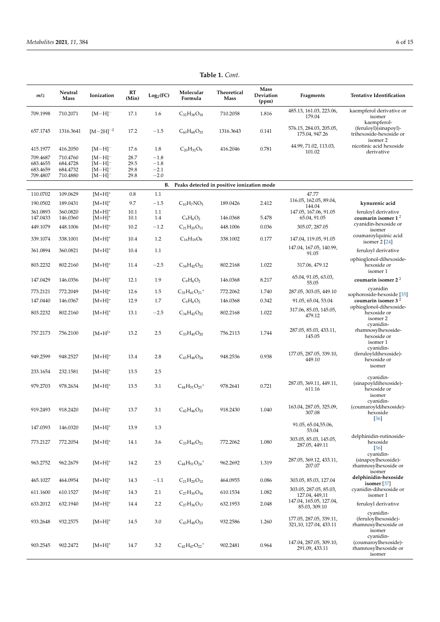| m/z                                          | Neutral<br>Mass                              | Ionization                                                           | RT<br>(Min)                  | Log <sub>2</sub> (FC)                | Molecular<br>Formula              | Theoretical<br>Mass                        | Mass<br>Deviation<br>(ppm) | Fragments                                          | <b>Tentative Identification</b>                                             |
|----------------------------------------------|----------------------------------------------|----------------------------------------------------------------------|------------------------------|--------------------------------------|-----------------------------------|--------------------------------------------|----------------------------|----------------------------------------------------|-----------------------------------------------------------------------------|
| 709.1998                                     | 710.2071                                     | $[M-H]$ <sup>-</sup>                                                 | 17.1                         | 1.6                                  | $C_{32}H_{38}O_{18}$              | 710.2058                                   | 1.816                      | 485.13, 161.03, 223.06,<br>179.04                  | kaempferol derivative or<br>isomer                                          |
| 657.1745                                     | 1316.3641                                    | $[M-2H]^{-2}$                                                        | 17.2                         | $-1.5$                               | $C_{60}H_{68}O_{33}$              | 1316.3643                                  | 0.141                      | 576.15, 284.03, 205.05,<br>175.04, 947.26          | kaempferol-<br>(feruloyl)(sinapoyl)-<br>trihexoside-hexoside or<br>isomer 2 |
| 415.1977                                     | 416.2050                                     | $[M-H]$ <sup>-</sup>                                                 | 17.6                         | 1.8                                  | $C_{20}H_{32}O_9$                 | 416.2046                                   | 0.781                      | 44.99, 71.02, 113.03,<br>101.02                    | nicotinic acid hexoside<br>derivative                                       |
| 709.4687<br>683.4655<br>683.4659<br>709.4807 | 710.4760<br>684.4728<br>684.4732<br>710.4880 | $[M-H]$ <sup>-</sup><br>$[M-H]^-$<br>$[M-H]$ <sup>-</sup><br>$[M-H]$ | 28.7<br>29.5<br>29.8<br>29.8 | $-1.8$<br>$-1.8$<br>$-2.1$<br>$-2.0$ |                                   |                                            |                            |                                                    |                                                                             |
|                                              |                                              |                                                                      |                              | В.                                   |                                   | Peaks detected in positive ionization mode |                            |                                                    |                                                                             |
| 110.0702                                     | 109.0629                                     | $[M+H]^+$                                                            | 0.8                          | 1.1                                  |                                   |                                            |                            | 47.77                                              |                                                                             |
| 190.0502                                     | 189.0431                                     | $[M+H]^+$                                                            | 9.7                          | $-1.5$                               | $C_{10}H_7NO_3$                   | 189.0426                                   | 2.412                      | 116.05, 162.05, 89.04,<br>144.04                   | kynurenic acid                                                              |
| 361.0893<br>147.0433                         | 360.0820<br>146.0360                         | $[M+H]^+$<br>$[M+H]^+$                                               | 10.1<br>10.1                 | 1.1<br>1.4                           | $C_9H_6O_2$                       | 146.0368                                   | 5.478                      | 147.05, 167.06, 91.05<br>65.04, 91.05              | feruloyl derivative<br>coumarin isomer $12$                                 |
| 449.1079                                     | 448.1006                                     | $[M+H]^+$                                                            | 10.2                         | $-1.2$                               | $C_{21}H_{20}O_{11}$              | 448.1006                                   | 0.036                      | 305.07, 287.05                                     | cyanidin-hexoside or<br>isomer                                              |
| 339.1074                                     | 338.1001                                     | $[M+H]^+$                                                            | 10.4                         | 1.2                                  | $C_{16}H_{18}O_8$                 | 338.1002                                   | 0.177                      | 147.04, 119.05, 91.05                              | coumaroylquinic acid<br>isomer $2[24]$                                      |
| 361.0894                                     | 360.0821                                     | $[M+H]^+$                                                            | 10.4                         | 1.1                                  |                                   |                                            |                            | 147.04, 167.05, 140.99,<br>91.05                   | feruloyl derivative                                                         |
| 803.2232                                     | 802.2160                                     | $[M+H]^+$                                                            | 11.4                         | $-2.5$                               | $C_{34}H_{42}O_{22}$              | 802.2168                                   | 1.022                      | 317.06, 479.12                                     | ophioglonol-dihexoside-<br>hexoside or<br>isomer 1                          |
| 147.0429                                     | 146.0356                                     | $[M+H]^+$                                                            | 12.1                         | 1.9                                  | $C_9H_6O_2$                       | 146.0368                                   | 8.217                      | 65.04, 91.05, 63.03,<br>55.05                      | coumarin isomer $22$                                                        |
| 773.2121                                     | 772.2049                                     | $[M+H]^+$                                                            | 12.6                         | 1.5                                  | $C_{33}H_{41}O_{21}$ <sup>+</sup> | 772.2062                                   | 1.740                      | 287.05, 303.05, 449.10                             | cvanidin<br>sophoroside-hexoside [35]                                       |
| 147.0440                                     | 146.0367                                     | $[M+H]^+$                                                            | 12.9                         | 1.7                                  | $C_9H_6O_2$                       | 146.0368                                   | 0.342                      | 91.05, 65.04, 53.04                                | coumarin isomer $32$                                                        |
| 803.2232                                     | 802.2160                                     | $[M+H]^+$                                                            | 13.1                         | $-2.5$                               | $C_{34}H_{42}O_{22}$              | 802.2168                                   | 1.022                      | 317.06, 85.03, 145.05,<br>479.12                   | ophioglonol-dihexoside-<br>hexoside or<br>isomer 2                          |
| 757.2173                                     | 756.2100                                     | $[M+H]^{+}$                                                          | 13.2                         | 2.5                                  | $C_{33}H_{40}O_{20}$              | 756.2113                                   | 1.744                      | 287.05, 85.03, 433.11,<br>145.05                   | cyanidin-<br>rhamnosylhexoside-<br>hexoside or<br>isomer 1                  |
| 949.2599                                     | 948.2527                                     | $[M+H]^+$                                                            | 13.4                         | 2.8                                  | $C_{43}H_{48}O_{24}$              | 948.2536                                   | 0.938                      | 177.05, 287.05, 339.10,<br>449.10                  | cyanidin-<br>(feruloyldihexoside)-<br>hexoside or<br>isomer                 |
| 233.1654                                     | 232.1581                                     | $[M+H]^+$                                                            | 13.5                         | 2.5                                  |                                   |                                            |                            |                                                    |                                                                             |
| 979.2703                                     | 978.2634                                     | $[M+H]^+$                                                            | 13.5                         | 3.1                                  | $C_{44}H_{51}O_{25}$ <sup>+</sup> | 978.2641                                   | 0.721                      | 287.05, 369.11, 449.11,<br>611.16                  | cyanidin-<br>(sinapoyldihexoside)-<br>hexoside or<br>isomer                 |
| 919.2493                                     | 918.2420                                     | $[M+H]^+$                                                            | 13.7                         | 3.1                                  | $C_{42}H_{46}O_{23}$              | 918.2430                                   | 1.040                      | 163.04, 287.05, 325.09,<br>307.08                  | cyanidin-<br>(coumaroyldihexoside)-<br>hexoside<br>$[36]$                   |
| 147.0393                                     | 146.0320                                     | $[M+H]^+$                                                            | 13.9                         | 1.3                                  |                                   |                                            |                            | 91.05, 65.04, 55.06,<br>53.04                      |                                                                             |
| 773.2127                                     | 772.2054                                     | $[M+H]^+$                                                            | 14.1                         | 3.6                                  | $C_{33}H_{40}O_{21}$              | 772.2062                                   | 1.080                      | 303.05, 85.03, 145.05,<br>287.05, 449.11           | delphinidin-rutinoside-<br>hexoside<br>$[36]$                               |
| 963.2752                                     | 962.2679                                     | $[M+H]^+$                                                            | 14.2                         | 2.5                                  | $C_{44}H_{51}O_{24}$ <sup>+</sup> | 962.2692                                   | 1.319                      | 287.05, 369.12, 433.11,<br>207.07                  | cyanidin-<br>(sinapoylhexoside)-<br>rhamnosylhexoside or<br>isomer          |
| 465.1027                                     | 464.0954                                     | $[M+H]^+$                                                            | 14.3                         | $-1.1$                               | $C_{21}H_{20}O_{12}$              | 464.0955                                   | 0.086                      | 303.05, 85.03, 127.04                              | delphinidin-hexoside<br>isomer $[37]$                                       |
| 611.1600                                     | 610.1527                                     | $[M+H]^+$                                                            | 14.3                         | 2.1                                  | $C_{27}H_{30}O_{16}$              | 610.1534                                   | 1.082                      | 303.05, 287.05, 85.03,<br>127.04, 449,11           | cyanidin-dihexoside or<br>isomer 1                                          |
| 633.2012                                     | 632.1940                                     | $[M+H]^+$                                                            | 14.4                         | 2.2                                  | $C_{27}H_{36}O_{17}$              | 632.1953                                   | 2.048                      | 147.04, 165.05, 127.04,<br>85.03, 309.10           | feruloyl derivative                                                         |
|                                              |                                              |                                                                      |                              |                                      |                                   |                                            |                            |                                                    | cyanidin-                                                                   |
| 933.2648                                     | 932.2575                                     | $[M+H]^+$                                                            | 14.5                         | 3.0                                  | $C_{43}H_{48}O_{23}$              | 932.2586                                   | 1.260                      | 177.05, 287.05, 339.11,<br>321, 10, 127.04, 433.11 | (feruloylhexoside)-<br>rhamnosylhexoside or<br>isomer                       |
| 903.2545                                     | 902.2472                                     | $[{\rm M+H}]^+$                                                      | 14.7                         | 3.2                                  | $C_{42}H_{47}O_{22}$ <sup>+</sup> | 902.2481                                   | 0.964                      | 147.04, 287.05, 309.10,<br>291.09, 433.11          | cyanidin-<br>(coumaroylhexoside)-<br>rhamnosylhexoside or<br>isomer         |

**Table 1.** *Cont.*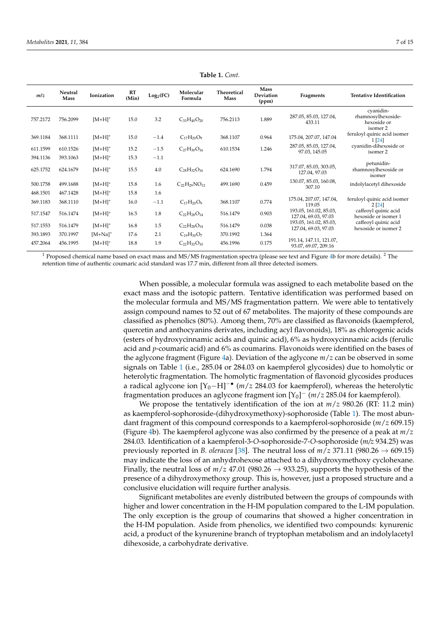<span id="page-6-0"></span>

| m/z      | Neutral<br><b>Mass</b> | Ionization | <b>RT</b><br>(Min) | Log <sub>2</sub> (FC) | Molecular<br>Formula  | Theoretical<br>Mass | <b>Mass</b><br>Deviation<br>(ppm) | Fragments                                       | <b>Tentative Identification</b>                            |
|----------|------------------------|------------|--------------------|-----------------------|-----------------------|---------------------|-----------------------------------|-------------------------------------------------|------------------------------------------------------------|
| 757.2172 | 756.2099               | $[M+H]^+$  | 15.0               | 3.2                   | $C_{33}H_{40}O_{20}$  | 756.2113            | 1.889                             | 287.05, 85.03, 127.04,<br>433.11                | cyanidin-<br>rhamnosylhexoside-<br>hexoside or<br>isomer 2 |
| 369.1184 | 368.1111               | $[M+H]^+$  | 15.0               | $-1.4$                | $C_{17}H_{20}O_9$     | 368.1107            | 0.964                             | 175.04, 207.07, 147.04                          | feruloyl quinic acid isomer<br>1 [24]                      |
| 611.1599 | 610.1526               | $[M+H]^+$  | 15.2               | $-1.5$                | $C_{27}H_{30}O_{16}$  | 610.1534            | 1.246                             | 287.05, 85.03, 127.04,<br>97.03.145.05          | cyanidin-dihexoside or<br>isomer 2                         |
| 394.1136 | 393.1063               | $[M+H]^+$  | 15.3               | $-1.1$                |                       |                     |                                   |                                                 |                                                            |
| 625.1752 | 624.1679               | $[M+H]^+$  | 15.5               | 4.0                   | $C_{28}H_{32}O_{16}$  | 624.1690            | 1.794                             | 317.07, 85.03, 303.05,<br>127.04, 97.03         | petunidin-<br>rhamnosylhexoside or<br>isomer               |
| 500.1758 | 499.1688               | $[M+H]^+$  | 15.8               | 1.6                   | $C_{22}H_{29}NO_{12}$ | 499.1690            | 0.459                             | 130.07, 85.03, 160.08,<br>307.10                | indolylacetyl dihexoside                                   |
| 468.1501 | 467.1428               | $[M+H]^+$  | 15.8               | 1.6                   |                       |                     |                                   |                                                 |                                                            |
| 369.1183 | 368.1110               | $[M+H]^+$  | 16.0               | $-1.1$                | $C_{17}H_{20}O_9$     | 368.1107            | 0.774                             | 175.04, 207.07, 147.04,<br>119.05               | feruloyl quinic acid isomer<br>2[24]                       |
| 517.1547 | 516.1474               | $[M+H]^+$  | 16.5               | 1.8                   | $C_{22}H_{28}O_{14}$  | 516.1479            | 0.903                             | 193.05, 161.02, 85.03,<br>127.04, 69.03, 97.03  | caffeoyl quinic acid<br>hexoside or isomer 1               |
| 517.1553 | 516.1479               | $[M+H]^+$  | 16.8               | 1.5                   | $C_{22}H_{28}O_{14}$  | 516.1479            | 0.038                             | 193.05, 161.02, 85.03,<br>127.04, 69.03, 97.03  | caffeoyl quinic acid<br>hexoside or isomer 2               |
| 393.1893 | 370.1997               | $[M+Na]^+$ | 17.6               | 2.1                   | $C_{19}H_{30}O_7$     | 370.1992            | 1.364                             |                                                 |                                                            |
| 457.2064 | 456.1995               | $[M+H]^+$  | 18.8               | 1.9                   | $C_{22}H_{32}O_{10}$  | 456.1996            | 0.175                             | 191.14, 147.11, 121.07,<br>93.07, 69.07, 209.16 |                                                            |

**Table 1.** *Cont.*

<sup>1</sup> Proposed chemical name based on exact mass and MS/MS fragmentation spectra (please see text and Figure [4b](#page-7-0) for more details). <sup>2</sup> The retention time of authentic coumaric acid standard was 17.7 min, different from all three detected isomers.

> When possible, a molecular formula was assigned to each metabolite based on the exact mass and the isotopic pattern. Tentative identification was performed based on the molecular formula and MS/MS fragmentation pattern. We were able to tentatively assign compound names to 52 out of 67 metabolites. The majority of these compounds are classified as phenolics (80%). Among them, 70% are classified as flavonoids (kaempferol, quercetin and anthocyanins derivates, including acyl flavonoids), 18% as chlorogenic acids (esters of hydroxycinnamic acids and quinic acid), 6% as hydroxycinnamic acids (ferulic acid and *p*-coumaric acid) and 6% as coumarins. Flavonoids were identified on the bases of the aglycone fragment (Figure [4a](#page-7-0)). Deviation of the aglycone *m*/*z* can be observed in some signals on Table [1](#page-6-0) (i.e., 285.04 or 284.03 on kaempferol glycosides) due to homolytic or heterolytic fragmentation. The homolytic fragmentation of flavonoid glycosides produces a radical aglycone ion [Y<sub>0</sub>−H]<sup>−•</sup> (*m*/*z* 284.03 for kaempferol), whereas the heterolytic fragmentation produces an aglycone fragment ion  $[Y_0]$ <sup>−</sup> (*m*/*z* 285.04 for kaempferol).

> We propose the tentatively identification of the ion at *m*/*z* 980.26 (RT: 11.2 min) as kaempferol-sophoroside-(dihydroxymethoxy)-sophoroside (Table [1\)](#page-6-0). The most abundant fragment of this compound corresponds to a kaempferol-sophoroside (*m*/*z* 609.15) (Figure [4b](#page-7-0)). The kaempferol aglycone was also confirmed by the presence of a peak at *m*/*z* 284.03. Identification of a kaempferol-3-*O*-sophoroside-7-*O*-sophoroside (*m/z* 934.25) was previously reported in *B. oleracea* [\[38\]](#page-13-7). The neutral loss of  $m/z$  371.11 (980.26  $\rightarrow$  609.15) may indicate the loss of an anhydrohexose attached to a dihydroxymethoxy cyclohexane. Finally, the neutral loss of  $m/z$  47.01 (980.26  $\rightarrow$  933.25), supports the hypothesis of the presence of a dihydroxymethoxy group. This is, however, just a proposed structure and a conclusive elucidation will require further analysis.

> Significant metabolites are evenly distributed between the groups of compounds with higher and lower concentration in the H-IM population compared to the L-IM population. The only exception is the group of coumarins that showed a higher concentration in the H-IM population. Aside from phenolics, we identified two compounds: kynurenic acid, a product of the kynurenine branch of tryptophan metabolism and an indolylacetyl dihexoside, a carbohydrate derivative.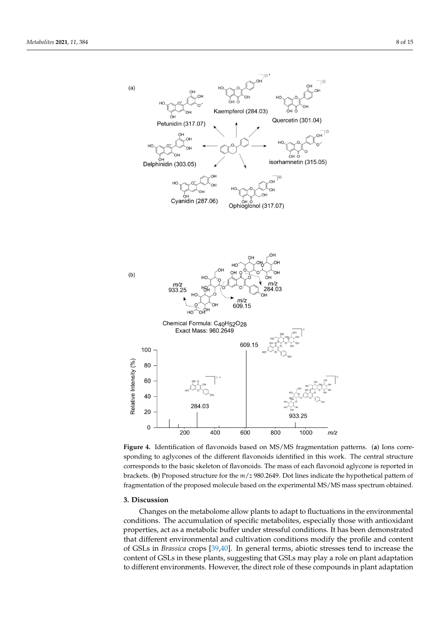<span id="page-7-0"></span>

sponding to aglycones of the different flavonoids identified in this work. The central structure corresponds to the basic skeleton of flavonoids. The mass of each flavonoid aglycone is reported in brackets. (b) Proposed structure for the  $m/z$  980.2649. Dot lines indicate the hypothetical pattern of Proposed structure for the *m*/*z* 980.2649. Dot lines indicate the hypothetical pattern of fragmentation of the proposed molecule based on the experimental MS/MS mass spectrum obtained. fragmentation of the proposed molecule based on the experimental MS/MS mass spectrum obtained. **Figure 4.** Identification of flavonoids based on MS/MS fragmentation patterns. (**a**) Ions corre-

#### **3. Discussion**

**3. Discussion** Changes on the metabolome allow plants to adapt to fluctuations in the environmental conditions. The accumulation of specific metabolites, especially those with antioxidant properties, act as a metabolic buffer under stressful conditions. It has been demonstrated that different environmental and cultivation conditions modify the profile and content of GSLs in *Brassica* crops [\[39,](#page-13-8)[40\]](#page-13-9). In general terms, abiotic stresses tend to increase the content of GSLs in these plants, suggesting that GSLs may play a role on plant adaptation to different environments. However, the direct role of these compounds in plant adaptation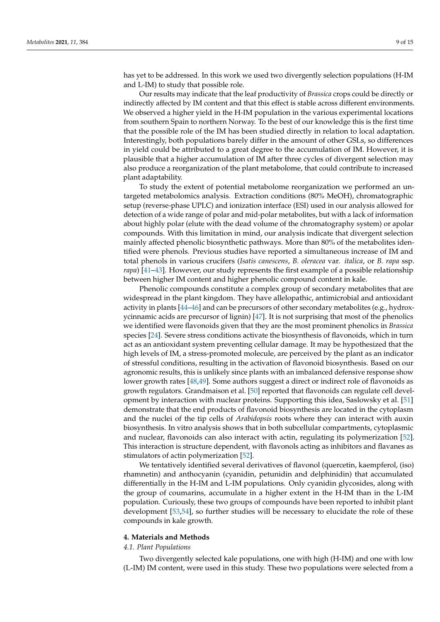has yet to be addressed. In this work we used two divergently selection populations (H-IM and L-IM) to study that possible role.

Our results may indicate that the leaf productivity of *Brassica* crops could be directly or indirectly affected by IM content and that this effect is stable across different environments. We observed a higher yield in the H-IM population in the various experimental locations from southern Spain to northern Norway. To the best of our knowledge this is the first time that the possible role of the IM has been studied directly in relation to local adaptation. Interestingly, both populations barely differ in the amount of other GSLs, so differences in yield could be attributed to a great degree to the accumulation of IM. However, it is plausible that a higher accumulation of IM after three cycles of divergent selection may also produce a reorganization of the plant metabolome, that could contribute to increased plant adaptability.

To study the extent of potential metabolome reorganization we performed an untargeted metabolomics analysis. Extraction conditions (80% MeOH), chromatographic setup (reverse-phase UPLC) and ionization interface (ESI) used in our analysis allowed for detection of a wide range of polar and mid-polar metabolites, but with a lack of information about highly polar (elute with the dead volume of the chromatography system) or apolar compounds. With this limitation in mind, our analysis indicate that divergent selection mainly affected phenolic biosynthetic pathways. More than 80% of the metabolites identified were phenols. Previous studies have reported a simultaneous increase of IM and total phenols in various crucifers (*Isatis canescens*, *B. oleracea* var. *italica*, or *B. rapa* ssp. *rapa*) [\[41–](#page-13-10)[43\]](#page-13-11). However, our study represents the first example of a possible relationship between higher IM content and higher phenolic compound content in kale.

Phenolic compounds constitute a complex group of secondary metabolites that are widespread in the plant kingdom. They have allelopathic, antimicrobial and antioxidant activity in plants [\[44](#page-13-12)[–46\]](#page-13-13) and can be precursors of other secondary metabolites (e.g., hydroxycinnamic acids are precursor of lignin) [\[47\]](#page-13-14). It is not surprising that most of the phenolics we identified were flavonoids given that they are the most prominent phenolics in *Brassica* species [\[24\]](#page-12-18). Severe stress conditions activate the biosynthesis of flavonoids, which in turn act as an antioxidant system preventing cellular damage. It may be hypothesized that the high levels of IM, a stress-promoted molecule, are perceived by the plant as an indicator of stressful conditions, resulting in the activation of flavonoid biosynthesis. Based on our agronomic results, this is unlikely since plants with an imbalanced defensive response show lower growth rates [\[48,](#page-13-15)[49\]](#page-13-16). Some authors suggest a direct or indirect role of flavonoids as growth regulators. Grandmaison et al. [\[50\]](#page-13-17) reported that flavonoids can regulate cell development by interaction with nuclear proteins. Supporting this idea, Saslowsky et al. [\[51\]](#page-13-18) demonstrate that the end products of flavonoid biosynthesis are located in the cytoplasm and the nuclei of the tip cells of *Arabidopsis* roots where they can interact with auxin biosynthesis. In vitro analysis shows that in both subcellular compartments, cytoplasmic and nuclear, flavonoids can also interact with actin, regulating its polymerization [\[52\]](#page-13-19). This interaction is structure dependent, with flavonols acting as inhibitors and flavanes as stimulators of actin polymerization [\[52\]](#page-13-19).

We tentatively identified several derivatives of flavonol (quercetin, kaempferol, (iso) rhamnetin) and anthocyanin (cyanidin, petunidin and delphinidin) that accumulated differentially in the H-IM and L-IM populations. Only cyanidin glycosides, along with the group of coumarins, accumulate in a higher extent in the H-IM than in the L-IM population. Curiously, these two groups of compounds have been reported to inhibit plant development [\[53](#page-13-20)[,54\]](#page-13-21), so further studies will be necessary to elucidate the role of these compounds in kale growth.

#### **4. Materials and Methods**

#### *4.1. Plant Populations*

Two divergently selected kale populations, one with high (H-IM) and one with low (L-IM) IM content, were used in this study. These two populations were selected from a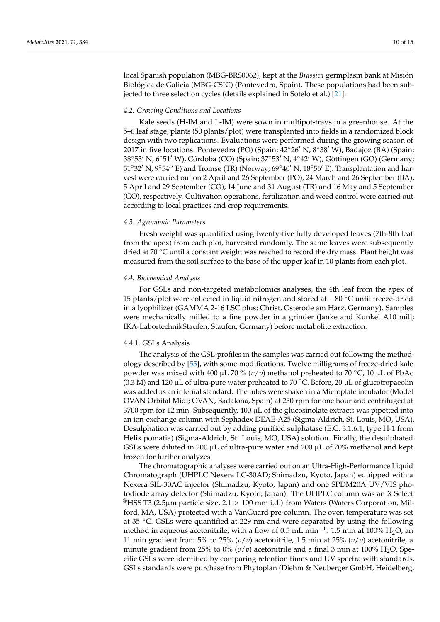local Spanish population (MBG-BRS0062), kept at the *Brassica* germplasm bank at Misión Biológica de Galicia (MBG-CSIC) (Pontevedra, Spain). These populations had been subjected to three selection cycles (details explained in Sotelo et al.) [\[21\]](#page-12-15).

#### *4.2. Growing Conditions and Locations*

Kale seeds (H-IM and L-IM) were sown in multipot-trays in a greenhouse. At the 5–6 leaf stage, plants (50 plants/plot) were transplanted into fields in a randomized block design with two replications. Evaluations were performed during the growing season of 2017 in five locations: Pontevedra (PO) (Spain;  $42^{\circ}26'$  N,  $8^{\circ}38'$  W), Badajoz (BA) (Spain; 38°53′ N, 6°51′ W), Córdoba (CO) (Spain; 37°53′ N, 4°42′ W), Göttingen (GO) (Germany; 51°32′ N, 9°54′′ E) and Tromsø (TR) (Norway; 69°40′ N, 18°56′ E). Transplantation and harvest were carried out on 2 April and 26 September (PO), 24 March and 26 September (BA), 5 April and 29 September (CO), 14 June and 31 August (TR) and 16 May and 5 September (GO), respectively. Cultivation operations, fertilization and weed control were carried out according to local practices and crop requirements.

#### *4.3. Agronomic Parameters*

Fresh weight was quantified using twenty-five fully developed leaves (7th-8th leaf from the apex) from each plot, harvested randomly. The same leaves were subsequently dried at 70 ◦C until a constant weight was reached to record the dry mass. Plant height was measured from the soil surface to the base of the upper leaf in 10 plants from each plot.

#### *4.4. Biochemical Analysis*

For GSLs and non-targeted metabolomics analyses, the 4th leaf from the apex of 15 plants/plot were collected in liquid nitrogen and stored at −80 ◦C until freeze-dried in a lyophilizer (GAMMA 2-16 LSC plus; Christ, Osterode am Harz, Germany). Samples were mechanically milled to a fine powder in a grinder (Janke and Kunkel A10 mill; IKA-LabortechnikStaufen, Staufen, Germany) before metabolite extraction.

#### 4.4.1. GSLs Analysis

The analysis of the GSL-profiles in the samples was carried out following the methodology described by [\[55\]](#page-13-22), with some modifications. Twelve milligrams of freeze-dried kale powder was mixed with 400 µL 70 % ( $v/v$ ) methanol preheated to 70 °C, 10 µL of PbAc (0.3 M) and 120 µL of ultra-pure water preheated to 70 °C. Before, 20 µL of glucotropaeolin was added as an internal standard. The tubes were shaken in a Microplate incubator (Model OVAN Orbital Midi; OVAN, Badalona, Spain) at 250 rpm for one hour and centrifuged at 3700 rpm for 12 min. Subsequently,  $400 \mu L$  of the glucosinolate extracts was pipetted into an ion-exchange column with Sephadex DEAE-A25 (Sigma-Aldrich, St. Louis, MO, USA). Desulphation was carried out by adding purified sulphatase (E.C. 3.1.6.1, type H-1 from Helix pomatia) (Sigma-Aldrich, St. Louis, MO, USA) solution. Finally, the desulphated GSLs were diluted in 200  $\mu$ L of ultra-pure water and 200  $\mu$ L of 70% methanol and kept frozen for further analyzes.

The chromatographic analyses were carried out on an Ultra-High-Performance Liquid Chromatograph (UHPLC Nexera LC-30AD; Shimadzu, Kyoto, Japan) equipped with a Nexera SIL-30AC injector (Shimadzu, Kyoto, Japan) and one SPDM20A UV/VIS photodiode array detector (Shimadzu, Kyoto, Japan). The UHPLC column was an X Select <sup>®</sup>HSS T3 (2.5µm particle size, 2.1  $\times$  100 mm i.d.) from Waters (Waters Corporation, Milford, MA, USA) protected with a VanGuard pre-column. The oven temperature was set at 35 ◦C. GSLs were quantified at 229 nm and were separated by using the following method in aqueous acetonitrile, with a flow of 0.5 mL min<sup>-1</sup>: 1.5 min at 100% H<sub>2</sub>O, an 11 min gradient from 5% to 25%  $(v/v)$  acetonitrile, 1.5 min at 25%  $(v/v)$  acetonitrile, a minute gradient from 25% to 0%  $(v/v)$  acetonitrile and a final 3 min at 100% H<sub>2</sub>O. Specific GSLs were identified by comparing retention times and UV spectra with standards. GSLs standards were purchase from Phytoplan (Diehm & Neuberger GmbH, Heidelberg,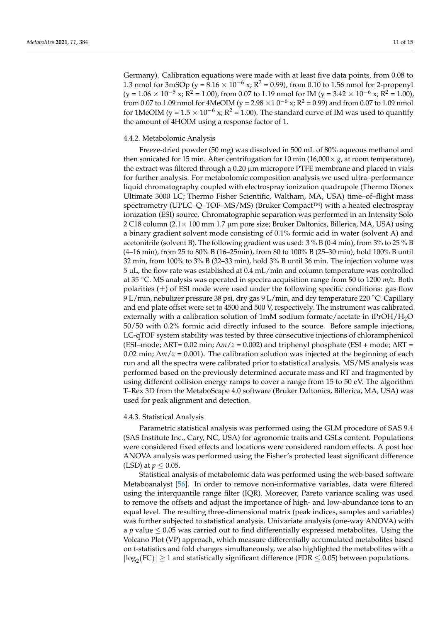Germany). Calibration equations were made with at least five data points, from 0.08 to 1.3 nmol for 3mSOp (y =  $8.16 \times 10^{-6}$  x; R<sup>2</sup> = 0.99), from 0.10 to 1.56 nmol for 2-propenyl  $(y = 1.06 \times 10^{-5} \text{ x}; \text{R}^2 = 1.00)$ , from 0.07 to 1.19 nmol for IM  $(y = 3.42 \times 10^{-6} \text{ x}; \text{R}^2 = 1.00)$ , from 0.07 to 1.09 nmol for 4MeOIM (y = 2.98  $\times$  1.0<sup>-6</sup> x; R<sup>2</sup> = 0.99) and from 0.07 to 1.09 nmol for 1MeOIM (y =  $1.5 \times 10^{-6}$  x; R<sup>2</sup> = 1.00). The standard curve of IM was used to quantify the amount of 4HOIM using a response factor of 1.

#### 4.4.2. Metabolomic Analysis

Freeze-dried powder (50 mg) was dissolved in 500 mL of 80% aqueous methanol and then sonicated for 15 min. After centrifugation for 10 min (16,000 $\times$  *g*, at room temperature), the extract was filtered through a 0.20 µm micropore PTFE membrane and placed in vials for further analysis. For metabolomic composition analysis we used ultra–performance liquid chromatography coupled with electrospray ionization quadrupole (Thermo Dionex Ultimate 3000 LC; Thermo Fisher Scientific, Waltham, MA, USA) time–of–flight mass spectrometry (UPLC–Q–TOF–MS/MS) (Bruker Compact™) with a heated electrospray ionization (ESI) source. Chromatographic separation was performed in an Intensity Solo 2 C18 column (2.1× 100 mm 1.7 µm pore size; Bruker Daltonics, Billerica, MA, USA) using a binary gradient solvent mode consisting of 0.1% formic acid in water (solvent A) and acetonitrile (solvent B). The following gradient was used: 3 % B (0-4 min), from 3% to 25 % B (4–16 min), from 25 to 80% B (16–25min), from 80 to 100% B (25–30 min), hold 100% B until 32 min, from 100% to 3% B (32–33 min), hold 3% B until 36 min. The injection volume was 5 µL, the flow rate was established at 0.4 mL/min and column temperature was controlled at 35 ◦C. MS analysis was operated in spectra acquisition range from 50 to 1200 *m/z*. Both polarities  $(\pm)$  of ESI mode were used under the following specific conditions: gas flow 9 L/min, nebulizer pressure 38 psi, dry gas 9 L/min, and dry temperature 220 ◦C. Capillary and end plate offset were set to 4500 and 500 V, respectively. The instrument was calibrated externally with a calibration solution of 1mM sodium formate/acetate in iPrOH/H2O 50/50 with 0.2% formic acid directly infused to the source. Before sample injections, LC-qTOF system stability was tested by three consecutive injections of chloramphenicol (ESI–mode; ∆RT= 0.02 min; ∆*m*/*z* = 0.002) and triphenyl phosphate (ESI + mode; ∆RT = 0.02 min; ∆*m*/*z* = 0.001). The calibration solution was injected at the beginning of each run and all the spectra were calibrated prior to statistical analysis. MS/MS analysis was performed based on the previously determined accurate mass and RT and fragmented by using different collision energy ramps to cover a range from 15 to 50 eV. The algorithm T–Rex 3D from the MetaboScape 4.0 software (Bruker Daltonics, Billerica, MA, USA) was used for peak alignment and detection.

#### 4.4.3. Statistical Analysis

Parametric statistical analysis was performed using the GLM procedure of SAS 9.4 (SAS Institute Inc., Cary, NC, USA) for agronomic traits and GSLs content. Populations were considered fixed effects and locations were considered random effects. A post hoc ANOVA analysis was performed using the Fisher's protected least significant difference (LSD) at  $p \leq 0.05$ .

Statistical analysis of metabolomic data was performed using the web-based software Metaboanalyst [\[56\]](#page-13-23). In order to remove non-informative variables, data were filtered using the interquantile range filter (IQR). Moreover, Pareto variance scaling was used to remove the offsets and adjust the importance of high- and low-abundance ions to an equal level. The resulting three-dimensional matrix (peak indices, samples and variables) was further subjected to statistical analysis. Univariate analysis (one-way ANOVA) with a  $p$  value  $\leq 0.05$  was carried out to find differentially expressed metabolites. Using the Volcano Plot (VP) approach, which measure differentially accumulated metabolites based on *t*-statistics and fold changes simultaneously, we also highlighted the metabolites with a  $|\text{log}_2(\text{FC})| \ge 1$  and statistically significant difference (FDR  $\le 0.05$ ) between populations.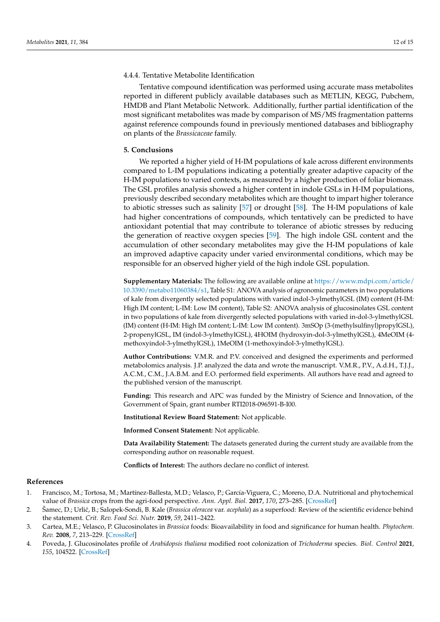#### 4.4.4. Tentative Metabolite Identification

Tentative compound identification was performed using accurate mass metabolites reported in different publicly available databases such as METLIN, KEGG, Pubchem, HMDB and Plant Metabolic Network. Additionally, further partial identification of the most significant metabolites was made by comparison of MS/MS fragmentation patterns against reference compounds found in previously mentioned databases and bibliography on plants of the *Brassicaceae* family.

#### **5. Conclusions**

We reported a higher yield of H-IM populations of kale across different environments compared to L-IM populations indicating a potentially greater adaptive capacity of the H-IM populations to varied contexts, as measured by a higher production of foliar biomass. The GSL profiles analysis showed a higher content in indole GSLs in H-IM populations, previously described secondary metabolites which are thought to impart higher tolerance to abiotic stresses such as salinity [\[57\]](#page-13-24) or drought [\[58\]](#page-14-0). The H-IM populations of kale had higher concentrations of compounds, which tentatively can be predicted to have antioxidant potential that may contribute to tolerance of abiotic stresses by reducing the generation of reactive oxygen species [\[59\]](#page-14-1). The high indole GSL content and the accumulation of other secondary metabolites may give the H-IM populations of kale an improved adaptive capacity under varied environmental conditions, which may be responsible for an observed higher yield of the high indole GSL population.

**Supplementary Materials:** The following are available online at [https://www.mdpi.com/article/](https://www.mdpi.com/article/10.3390/metabo11060384/s1) [10.3390/metabo11060384/s1,](https://www.mdpi.com/article/10.3390/metabo11060384/s1) Table S1: ANOVA analysis of agronomic parameters in two populations of kale from divergently selected populations with varied indol-3-ylmethylGSL (IM) content (H-IM: High IM content; L-IM: Low IM content), Table S2: ANOVA analysis of glucosinolates GSL content in two populations of kale from divergently selected populations with varied in-dol-3-ylmethylGSL (IM) content (H-IM: High IM content; L-IM: Low IM content). 3mSOp (3-(methylsulfinyl)propylGSL), 2-propenylGSL, IM (indol-3-ylmethylGSL), 4HOIM (hydroxyin-dol-3-ylmethylGSL), 4MeOIM (4 methoxyindol-3-ylmethylGSL), 1MeOIM (1-methoxyindol-3-ylmethylGSL).

**Author Contributions:** V.M.R. and P.V. conceived and designed the experiments and performed metabolomics analysis. J.P. analyzed the data and wrote the manuscript. V.M.R., P.V., A.d.H., T.J.J., A.C.M., C.M., J.A.B.M. and E.O. performed field experiments. All authors have read and agreed to the published version of the manuscript.

**Funding:** This research and APC was funded by the Ministry of Science and Innovation, of the Government of Spain, grant number RTI2018-096591-B-I00.

**Institutional Review Board Statement:** Not applicable.

**Informed Consent Statement:** Not applicable.

**Data Availability Statement:** The datasets generated during the current study are available from the corresponding author on reasonable request.

**Conflicts of Interest:** The authors declare no conflict of interest.

#### **References**

- <span id="page-11-0"></span>1. Francisco, M.; Tortosa, M.; Martínez-Ballesta, M.D.; Velasco, P.; García-Viguera, C.; Moreno, D.A. Nutritional and phytochemical value of *Brassica* crops from the agri-food perspective. *Ann. Appl. Biol.* **2017**, *170*, 273–285. [\[CrossRef\]](http://doi.org/10.1111/aab.12318)
- <span id="page-11-1"></span>2. Šamec, D.; Urli´c, B.; Salopek-Sondi, B. Kale (*Brassica oleracea* var. *acephala*) as a superfood: Review of the scientific evidence behind the statement. *Crit. Rev. Food Sci. Nutr.* **2019**, *59*, 2411–2422.
- <span id="page-11-2"></span>3. Cartea, M.E.; Velasco, P. Glucosinolates in *Brassica* foods: Bioavailability in food and significance for human health. *Phytochem. Rev.* **2008**, *7*, 213–229. [\[CrossRef\]](http://doi.org/10.1007/s11101-007-9072-2)
- <span id="page-11-3"></span>4. Poveda, J. Glucosinolates profile of *Arabidopsis thaliana* modified root colonization of *Trichoderma* species. *Biol. Control* **2021**, *155*, 104522. [\[CrossRef\]](http://doi.org/10.1016/j.biocontrol.2020.104522)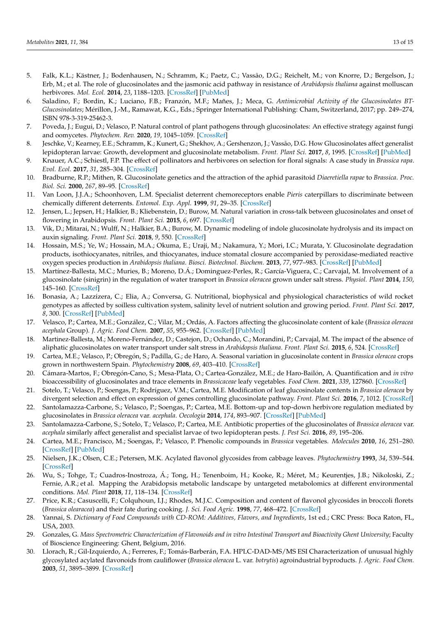- <span id="page-12-0"></span>5. Falk, K.L.; Kästner, J.; Bodenhausen, N.; Schramm, K.; Paetz, C.; Vassão, D.G.; Reichelt, M.; von Knorre, D.; Bergelson, J.; Erb, M.; et al. The role of glucosinolates and the jasmonic acid pathway in resistance of *Arabidopsis thaliana* against molluscan herbivores. *Mol. Ecol.* **2014**, *23*, 1188–1203. [\[CrossRef\]](http://doi.org/10.1111/mec.12610) [\[PubMed\]](http://www.ncbi.nlm.nih.gov/pubmed/24313595)
- <span id="page-12-1"></span>6. Saladino, F.; Bordin, K.; Luciano, F.B.; Franzón, M.F.; Mañes, J.; Meca, G. *Antimicrobial Activity of the Glucosinolates BT-Glucosinolates*; Mérillon, J.-M., Ramawat, K.G., Eds.; Springer International Publishing: Cham, Switzerland, 2017; pp. 249–274, ISBN 978-3-319-25462-3.
- <span id="page-12-2"></span>7. Poveda, J.; Eugui, D.; Velasco, P. Natural control of plant pathogens through glucosinolates: An effective strategy against fungi and oomycetes. *Phytochem. Rev.* **2020**, *19*, 1045–1059. [\[CrossRef\]](http://doi.org/10.1007/s11101-020-09699-0)
- <span id="page-12-3"></span>8. Jeschke, V.; Kearney, E.E.; Schramm, K.; Kunert, G.; Shekhov, A.; Gershenzon, J.; Vassão, D.G. How Glucosinolates affect generalist lepidopteran larvae: Growth, development and glucosinolate metabolism. *Front. Plant Sci.* **2017**, *8*, 1995. [\[CrossRef\]](http://doi.org/10.3389/fpls.2017.01995) [\[PubMed\]](http://www.ncbi.nlm.nih.gov/pubmed/29209354)
- <span id="page-12-4"></span>9. Knauer, A.C.; Schiestl, F.P. The effect of pollinators and herbivores on selection for floral signals: A case study in *Brassica rapa*. *Evol. Ecol.* **2017**, *31*, 285–304. [\[CrossRef\]](http://doi.org/10.1007/s10682-016-9878-8)
- <span id="page-12-5"></span>10. Bradburne, R.P.; Mithen, R. Glucosinolate genetics and the attraction of the aphid parasitoid *Diaeretiella rapae* to *Brassica*. *Proc. Biol. Sci.* **2000**, *267*, 89–95. [\[CrossRef\]](http://doi.org/10.1098/rspb.2000.0971)
- <span id="page-12-6"></span>11. Van Loon, J.J.A.; Schoonhoven, L.M. Specialist deterrent chemoreceptors enable *Pieris* caterpillars to discriminate between chemically different deterrents. *Entomol. Exp. Appl.* **1999**, *91*, 29–35. [\[CrossRef\]](http://doi.org/10.1046/j.1570-7458.1999.00463.x)
- <span id="page-12-7"></span>12. Jensen, L.; Jepsen, H.; Halkier, B.; Kliebenstein, D.; Burow, M. Natural variation in cross-talk between glucosinolates and onset of flowering in Arabidopsis. *Front. Plant Sci.* **2015**, *6*, 697. [\[CrossRef\]](http://doi.org/10.3389/fpls.2015.00697)
- 13. Vik, D.; Mitarai, N.; Wulff, N.; Halkier, B.A.; Burow, M. Dynamic modeling of indole glucosinolate hydrolysis and its impact on auxin signaling. *Front. Plant Sci.* **2018**, *9*, 550. [\[CrossRef\]](http://doi.org/10.3389/fpls.2018.00550)
- <span id="page-12-8"></span>14. Hossain, M.S.; Ye, W.; Hossain, M.A.; Okuma, E.; Uraji, M.; Nakamura, Y.; Mori, I.C.; Murata, Y. Glucosinolate degradation products, isothiocyanates, nitriles, and thiocyanates, induce stomatal closure accompanied by peroxidase-mediated reactive oxygen species production in *Arabidopsis thaliana*. *Biosci. Biotechnol. Biochem.* **2013**, *77*, 977–983. [\[CrossRef\]](http://doi.org/10.1271/bbb.120928) [\[PubMed\]](http://www.ncbi.nlm.nih.gov/pubmed/23649257)
- <span id="page-12-9"></span>15. Martínez-Ballesta, M.C.; Muries, B.; Moreno, D.Á.; Dominguez-Perles, R.; García-Viguera, C.; Carvajal, M. Involvement of a glucosinolate (sinigrin) in the regulation of water transport in *Brassica oleracea* grown under salt stress. *Physiol. Plant* **2014**, *150*, 145–160. [\[CrossRef\]](http://doi.org/10.1111/ppl.12082)
- <span id="page-12-10"></span>16. Bonasia, A.; Lazzizera, C.; Elia, A.; Conversa, G. Nutritional, biophysical and physiological characteristics of wild rocket genotypes as affected by soilless cultivation system, salinity level of nutrient solution and growing period. *Front. Plant Sci.* **2017**, *8*, 300. [\[CrossRef\]](http://doi.org/10.3389/fpls.2017.00300) [\[PubMed\]](http://www.ncbi.nlm.nih.gov/pubmed/28337211)
- <span id="page-12-11"></span>17. Velasco, P.; Cartea, M.E.; González, C.; Vilar, M.; Ordás, A. Factors affecting the glucosinolate content of kale (*Brassica oleracea acephala* Group). *J. Agric. Food Chem.* **2007**, *55*, 955–962. [\[CrossRef\]](http://doi.org/10.1021/jf0624897) [\[PubMed\]](http://www.ncbi.nlm.nih.gov/pubmed/17263499)
- <span id="page-12-12"></span>18. Martinez-Ballesta, M.; Moreno-Fernández, D.; Castejon, D.; Ochando, C.; Morandini, P.; Carvajal, M. The impact of the absence of aliphatic glucosinolates on water transport under salt stress in *Arabidopsis thaliana*. *Front. Plant Sci.* **2015**, *6*, 524. [\[CrossRef\]](http://doi.org/10.3389/fpls.2015.00524)
- <span id="page-12-13"></span>19. Cartea, M.E.; Velasco, P.; Obregón, S.; Padilla, G.; de Haro, A. Seasonal variation in glucosinolate content in *Brassica oleracea* crops grown in northwestern Spain. *Phytochemistry* **2008**, *69*, 403–410. [\[CrossRef\]](http://doi.org/10.1016/j.phytochem.2007.08.014)
- <span id="page-12-14"></span>20. Cámara-Martos, F.; Obregón-Cano, S.; Mesa-Plata, O.; Cartea-González, M.E.; de Haro-Bailón, A. Quantification and *in vitro* bioaccessibility of glucosinolates and trace elements in *Brassicaceae* leafy vegetables. *Food Chem.* **2021**, *339*, 127860. [\[CrossRef\]](http://doi.org/10.1016/j.foodchem.2020.127860)
- <span id="page-12-15"></span>21. Sotelo, T.; Velasco, P.; Soengas, P.; Rodríguez, V.M.; Cartea, M.E. Modification of leaf glucosinolate contents in *Brassica oleracea* by divergent selection and effect on expression of genes controlling glucosinolate pathway. *Front. Plant Sci.* **2016**, *7*, 1012. [\[CrossRef\]](http://doi.org/10.3389/fpls.2016.01012)
- <span id="page-12-16"></span>22. Santolamazza-Carbone, S.; Velasco, P.; Soengas, P.; Cartea, M.E. Bottom-up and top-down herbivore regulation mediated by glucosinolates in *Brassica oleracea* var. *acephala*. *Oecologia* **2014**, *174*, 893–907. [\[CrossRef\]](http://doi.org/10.1007/s00442-013-2817-2) [\[PubMed\]](http://www.ncbi.nlm.nih.gov/pubmed/24352843)
- <span id="page-12-17"></span>23. Santolamazza-Carbone, S.; Sotelo, T.; Velasco, P.; Cartea, M.E. Antibiotic properties of the glucosinolates of *Brassica oleracea* var. *acephala* similarly affect generalist and specialist larvae of two lepidopteran pests. *J. Pest Sci.* **2016**, *89*, 195–206.
- <span id="page-12-18"></span>24. Cartea, M.E.; Francisco, M.; Soengas, P.; Velasco, P. Phenolic compounds in *Brassica* vegetables. *Molecules* **2010**, *16*, 251–280. [\[CrossRef\]](http://doi.org/10.3390/molecules16010251) [\[PubMed\]](http://www.ncbi.nlm.nih.gov/pubmed/21193847)
- <span id="page-12-19"></span>25. Nielsen, J.K.; Olsen, C.E.; Petersen, M.K. Acylated flavonol glycosides from cabbage leaves. *Phytochemistry* **1993**, *34*, 539–544. [\[CrossRef\]](http://doi.org/10.1016/0031-9422(93)80042-Q)
- <span id="page-12-20"></span>26. Wu, S.; Tohge, T.; Cuadros-Inostroza, Á.; Tong, H.; Tenenboim, H.; Kooke, R.; Méret, M.; Keurentjes, J.B.; Nikoloski, Z.; Fernie, A.R.; et al. Mapping the Arabidopsis metabolic landscape by untargeted metabolomics at different environmental conditions. *Mol. Plant* **2018**, *11*, 118–134. [\[CrossRef\]](http://doi.org/10.1016/j.molp.2017.08.012)
- <span id="page-12-21"></span>27. Price, K.R.; Casuscelli, F.; Colquhoun, I.J.; Rhodes, M.J.C. Composition and content of flavonol glycosides in broccoli florets (*Brassica olearacea*) and their fate during cooking. *J. Sci. Food Agric.* **1998**, *77*, 468–472. [\[CrossRef\]](http://doi.org/10.1002/(SICI)1097-0010(199808)77:4<468::AID-JSFA66>3.0.CO;2-B)
- <span id="page-12-22"></span>28. Yannai, S. *Dictionary of Food Compounds with CD-ROM: Additives, Flavors, and Ingredients*, 1st ed.; CRC Press: Boca Raton, FL, USA, 2003.
- <span id="page-12-23"></span>29. Gonzales, G. *Mass Spectrometric Characterization of Flavonoids and in vitro Intestinal Transport and Bioactivity Ghent University*; Faculty of Bioscience Engineering: Ghent, Belgium, 2016.
- <span id="page-12-24"></span>30. Llorach, R.; Gil-Izquierdo, A.; Ferreres, F.; Tomás-Barberán, F.A. HPLC-DAD-MS/MS ESI Characterization of unusual highly glycosylated acylated flavonoids from cauliflower (*Brassica oleracea* L. var. *botrytis*) agroindustrial byproducts. *J. Agric. Food Chem.* **2003**, *51*, 3895–3899. [\[CrossRef\]](http://doi.org/10.1021/jf030077h)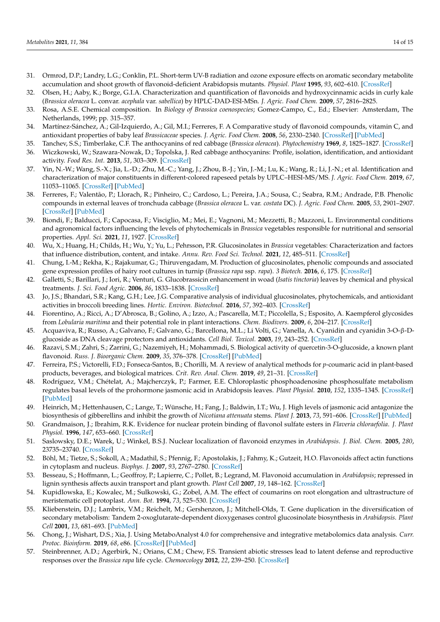- <span id="page-13-0"></span>31. Ormrod, D.P.; Landry, L.G.; Conklin, P.L. Short-term UV-B radiation and ozone exposure effects on aromatic secondary metabolite accumulation and shoot growth of flavonoid-deficient Arabidopsis mutants. *Physiol. Plant* **1995**, *93*, 602–610. [\[CrossRef\]](http://doi.org/10.1111/j.1399-3054.1995.tb05106.x)
- <span id="page-13-1"></span>32. Olsen, H.; Aaby, K.; Borge, G.I.A. Characterization and quantification of flavonoids and hydroxycinnamic acids in curly kale (*Brassica oleracea* L. convar. *acephala* var. *sabellica*) by HPLC-DAD-ESI-MSn. *J. Agric. Food Chem.* **2009**, *57*, 2816–2825.
- <span id="page-13-2"></span>33. Rosa, A.S.E. Chemical composition. In *Biology of Brassica coenospecies*; Gomez-Campo, C., Ed.; Elsevier: Amsterdam, The Netherlands, 1999; pp. 315–357.
- <span id="page-13-3"></span>34. Martínez-Sánchez, A.; Gil-Izquierdo, A.; Gil, M.I.; Ferreres, F. A Comparative study of flavonoid compounds, vitamin C, and antioxidant properties of baby leaf *Brassicaceae* species. *J. Agric. Food Chem.* **2008**, *56*, 2330–2340. [\[CrossRef\]](http://doi.org/10.1021/jf072975+) [\[PubMed\]](http://www.ncbi.nlm.nih.gov/pubmed/18321050)
- <span id="page-13-4"></span>35. Tanchev, S.S.; Timberlake, C.F. The anthocyanins of red cabbage (*Brassica oleracea*). *Phytochemistry* **1969**, *8*, 1825–1827. [\[CrossRef\]](http://doi.org/10.1016/S0031-9422(00)85977-4)
- <span id="page-13-5"></span>36. Wiczkowski, W.; Szawara-Nowak, D.; Topolska, J. Red cabbage anthocyanins: Profile, isolation, identification, and antioxidant activity. *Food Res. Int.* **2013**, *51*, 303–309. [\[CrossRef\]](http://doi.org/10.1016/j.foodres.2012.12.015)
- <span id="page-13-6"></span>37. Yin, N.-W.; Wang, S.-X.; Jia, L.-D.; Zhu, M.-C.; Yang, J.; Zhou, B.-J.; Yin, J.-M.; Lu, K.; Wang, R.; Li, J.-N.; et al. Identification and characterization of major constituents in different-colored rapeseed petals by UPLC–HESI-MS/MS. *J. Agric. Food Chem.* **2019**, *67*, 11053–11065. [\[CrossRef\]](http://doi.org/10.1021/acs.jafc.9b05046) [\[PubMed\]](http://www.ncbi.nlm.nih.gov/pubmed/31525973)
- <span id="page-13-7"></span>38. Ferreres, F.; Valentão, P.; Llorach, R.; Pinheiro, C.; Cardoso, L.; Pereira, J.A.; Sousa, C.; Seabra, R.M.; Andrade, P.B. Phenolic compounds in external leaves of tronchuda cabbage (*Brassica oleracea* L. var. *costata* DC). *J. Agric. Food Chem.* **2005**, *53*, 2901–2907. [\[CrossRef\]](http://doi.org/10.1021/jf040441s) [\[PubMed\]](http://www.ncbi.nlm.nih.gov/pubmed/15826037)
- <span id="page-13-8"></span>39. Biondi, F.; Balducci, F.; Capocasa, F.; Visciglio, M.; Mei, E.; Vagnoni, M.; Mezzetti, B.; Mazzoni, L. Environmental conditions and agronomical factors influencing the levels of phytochemicals in *Brassica* vegetables responsible for nutritional and sensorial properties. *Appl. Sci.* **2021**, *11*, 1927. [\[CrossRef\]](http://doi.org/10.3390/app11041927)
- <span id="page-13-9"></span>40. Wu, X.; Huang, H.; Childs, H.; Wu, Y.; Yu, L.; Pehrsson, P.R. Glucosinolates in *Brassica* vegetables: Characterization and factors that influence distribution, content, and intake. *Annu. Rev. Food Sci. Technol.* **2021**, *12*, 485–511. [\[CrossRef\]](http://doi.org/10.1146/annurev-food-070620-025744)
- <span id="page-13-10"></span>41. Chung, I.-M.; Rekha, K.; Rajakumar, G.; Thiruvengadam, M. Production of glucosinolates, phenolic compounds and associated gene expression profiles of hairy root cultures in turnip (*Brassica rapa* ssp. *rapa*). *3 Biotech.* **2016**, *6*, 175. [\[CrossRef\]](http://doi.org/10.1007/s13205-016-0492-9)
- 42. Galletti, S.; Barillari, J.; Iori, R.; Venturi, G. Glucobrassicin enhancement in woad (*Isatis tinctoria*) leaves by chemical and physical treatments. *J. Sci. Food Agric.* **2006**, *86*, 1833–1838. [\[CrossRef\]](http://doi.org/10.1002/jsfa.2571)
- <span id="page-13-11"></span>43. Jo, J.S.; Bhandari, S.R.; Kang, G.H.; Lee, J.G. Comparative analysis of individual glucosinolates, phytochemicals, and antioxidant activities in broccoli breeding lines. *Hortic. Environ. Biotechnol.* **2016**, *57*, 392–403. [\[CrossRef\]](http://doi.org/10.1007/s13580-016-0088-7)
- <span id="page-13-12"></span>44. Fiorentino, A.; Ricci, A.; D'Abrosca, B.; Golino, A.; Izzo, A.; Pascarella, M.T.; Piccolella, S.; Esposito, A. Kaempferol glycosides from *Lobularia maritima* and their potential role in plant interactions. *Chem. Biodivers.* **2009**, *6*, 204–217. [\[CrossRef\]](http://doi.org/10.1002/cbdv.200800097)
- 45. Acquaviva, R.; Russo, A.; Galvano, F.; Galvano, G.; Barcellona, M.L.; Li Volti, G.; Vanella, A. Cyanidin and cyanidin 3-O-β-Dglucoside as DNA cleavage protectors and antioxidants. *Cell Biol. Toxicol.* **2003**, *19*, 243–252. [\[CrossRef\]](http://doi.org/10.1023/B:CBTO.0000003974.27349.4e)
- <span id="page-13-13"></span>46. Razavi, S.M.; Zahri, S.; Zarrini, G.; Nazemiyeh, H.; Mohammadi, S. Biological activity of quercetin-3-O-glucoside, a known plant flavonoid. *Russ. J. Bioorganic Chem.* **2009**, *35*, 376–378. [\[CrossRef\]](http://doi.org/10.1134/S1068162009030133) [\[PubMed\]](http://www.ncbi.nlm.nih.gov/pubmed/19621057)
- <span id="page-13-14"></span>47. Ferreira, P.S.; Victorelli, F.D.; Fonseca-Santos, B.; Chorilli, M. A review of analytical methods for *p*-coumaric acid in plant-based products, beverages, and biological matrices. *Crit. Rev. Anal. Chem.* **2019**, *49*, 21–31. [\[CrossRef\]](http://doi.org/10.1080/10408347.2018.1459173)
- <span id="page-13-15"></span>48. Rodríguez, V.M.; Chételat, A.; Majcherczyk, P.; Farmer, E.E. Chloroplastic phosphoadenosine phosphosulfate metabolism regulates basal levels of the prohormone jasmonic acid in Arabidopsis leaves. *Plant Physiol.* **2010**, *152*, 1335–1345. [\[CrossRef\]](http://doi.org/10.1104/pp.109.150474) [\[PubMed\]](http://www.ncbi.nlm.nih.gov/pubmed/20053710)
- <span id="page-13-16"></span>49. Heinrich, M.; Hettenhausen, C.; Lange, T.; Wünsche, H.; Fang, J.; Baldwin, I.T.; Wu, J. High levels of jasmonic acid antagonize the biosynthesis of gibberellins and inhibit the growth of *Nicotiana attenuata* stems. *Plant J.* **2013**, *73*, 591–606. [\[CrossRef\]](http://doi.org/10.1111/tpj.12058) [\[PubMed\]](http://www.ncbi.nlm.nih.gov/pubmed/23190261)
- <span id="page-13-17"></span>50. Grandmaison, J.; Ibrahim, R.K. Evidence for nuclear protein binding of flavonol sulfate esters in *Flaveria chloraefolia*. *J. Plant Physiol.* **1996**, *147*, 653–660. [\[CrossRef\]](http://doi.org/10.1016/S0176-1617(11)81474-4)
- <span id="page-13-18"></span>51. Saslowsky, D.E.; Warek, U.; Winkel, B.S.J. Nuclear localization of flavonoid enzymes in *Arabidopsis*. *J. Biol. Chem.* **2005**, *280*, 23735–23740. [\[CrossRef\]](http://doi.org/10.1074/jbc.M413506200)
- <span id="page-13-19"></span>52. Böhl, M.; Tietze, S.; Sokoll, A.; Madathil, S.; Pfennig, F.; Apostolakis, J.; Fahmy, K.; Gutzeit, H.O. Flavonoids affect actin functions in cytoplasm and nucleus. *Biophys. J.* **2007**, *93*, 2767–2780. [\[CrossRef\]](http://doi.org/10.1529/biophysj.107.107813)
- <span id="page-13-20"></span>53. Besseau, S.; Hoffmann, L.; Geoffroy, P.; Lapierre, C.; Pollet, B.; Legrand, M. Flavonoid accumulation in *Arabidopsis*; repressed in lignin synthesis affects auxin transport and plant growth. *Plant Cell* **2007**, *19*, 148–162. [\[CrossRef\]](http://doi.org/10.1105/tpc.106.044495)
- <span id="page-13-21"></span>54. Kupidlowska, E.; Kowalec, M.; Sulkowski, G.; Zobel, A.M. The effect of coumarins on root elongation and ultrastructure of meristematic cell protoplast. *Ann. Bot.* **1994**, *73*, 525–530. [\[CrossRef\]](http://doi.org/10.1006/anbo.1994.1065)
- <span id="page-13-22"></span>55. Kliebenstein, D.J.; Lambrix, V.M.; Reichelt, M.; Gershenzon, J.; Mitchell-Olds, T. Gene duplication in the diversification of secondary metabolism: Tandem 2-oxoglutarate-dependent dioxygenases control glucosinolate biosynthesis in *Arabidopsis*. *Plant Cell* **2001**, *13*, 681–693. [\[PubMed\]](http://www.ncbi.nlm.nih.gov/pubmed/11251105)
- <span id="page-13-23"></span>56. Chong, J.; Wishart, D.S.; Xia, J. Using MetaboAnalyst 4.0 for comprehensive and integrative metabolomics data analysis. *Curr. Protoc. Bioinform.* **2019**, *68*, e86. [\[CrossRef\]](http://doi.org/10.1002/cpbi.86) [\[PubMed\]](http://www.ncbi.nlm.nih.gov/pubmed/31756036)
- <span id="page-13-24"></span>57. Steinbrenner, A.D.; Agerbirk, N.; Orians, C.M.; Chew, F.S. Transient abiotic stresses lead to latent defense and reproductive responses over the *Brassica rapa* life cycle. *Chemoecology* **2012**, *22*, 239–250. [\[CrossRef\]](http://doi.org/10.1007/s00049-012-0113-y)